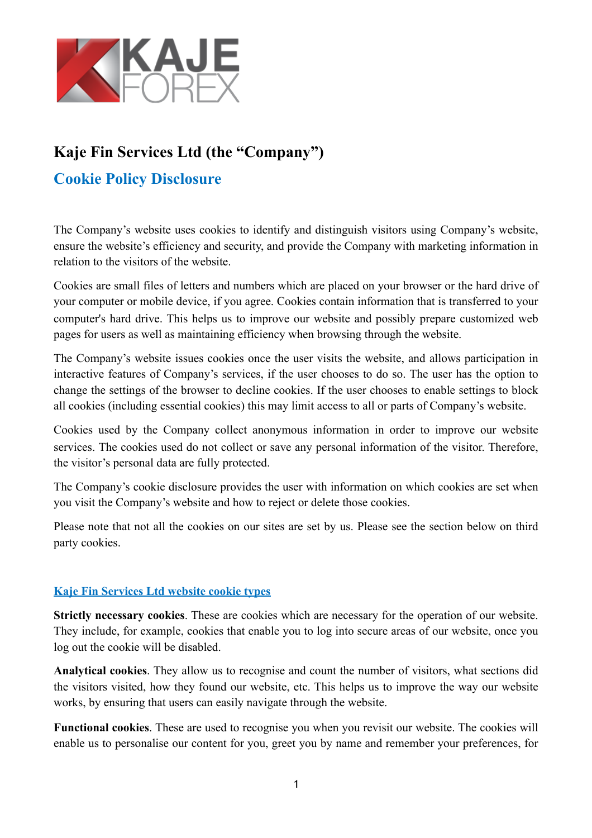

## **Kaje Fin Services Ltd (the "Company")**

## **Cookie Policy Disclosure**

The Company's website uses cookies to identify and distinguish visitors using Company's website, ensure the website's efficiency and security, and provide the Company with marketing information in relation to the visitors of the website.

Cookies are small files of letters and numbers which are placed on your browser or the hard drive of your computer or mobile device, if you agree. Cookies contain information that is transferred to your computer's hard drive. This helps us to improve our website and possibly prepare customized [web](http://www.webopedia.com/TERM/W/web_page.html)  [pages](http://www.webopedia.com/TERM/W/web_page.html) for users as well as maintaining efficiency when browsing through the website.

The Company's website issues cookies once the user visits the website, and allows participation in interactive features of Company's services, if the user chooses to do so. The user has the option to change the settings of the browser to decline cookies. If the user chooses to enable settings to block all cookies (including essential cookies) this may limit access to all or parts of Company's website.

Cookies used by the Company collect anonymous information in order to improve our website services. The cookies used do not collect or save any personal information of the visitor. Therefore, the visitor's personal data are fully protected.

The Company's cookie disclosure provides the user with information on which cookies are set when you visit the Company's website and how to reject or delete those cookies.

Please note that not all the cookies on our sites are set by us. Please see the section below on third party cookies.

## **Kaje Fin Services Ltd website cookie types**

**Strictly necessary cookies**. These are cookies which are necessary for the operation of our website. They include, for example, cookies that enable you to log into secure areas of our website, once you log out the cookie will be disabled.

**Analytical cookies**. They allow us to recognise and count the number of visitors, what sections did the visitors visited, how they found our website, etc. This helps us to improve the way our website works, by ensuring that users can easily navigate through the website.

**Functional cookies**. These are used to recognise you when you revisit our website. The cookies will enable us to personalise our content for you, greet you by name and remember your preferences, for